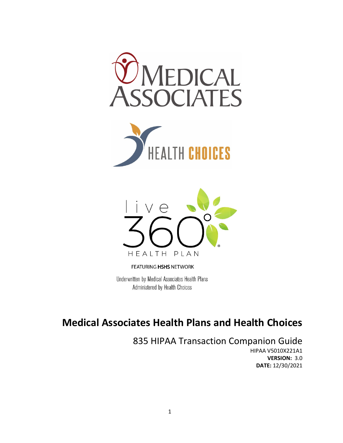





FEATURING HSHS NETWORK

Underwritten by Medical Associates Health Plans Administered by Health Choices

# **Medical Associates Health Plans and Health Choices**

835 HIPAA Transaction Companion Guide HIPAA V5010X221A1 **VERSION:** 3.0 **DATE:** 12/30/2021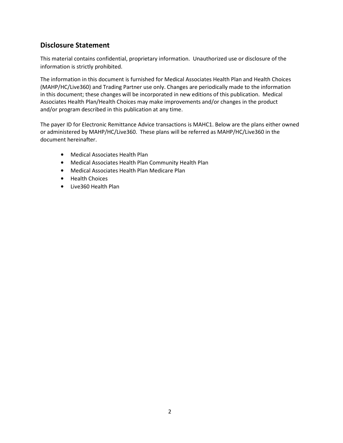# **Disclosure Statement**

This material contains confidential, proprietary information. Unauthorized use or disclosure of the information is strictly prohibited.

The information in this document is furnished for Medical Associates Health Plan and Health Choices (MAHP/HC/Live360) and Trading Partner use only. Changes are periodically made to the information in this document; these changes will be incorporated in new editions of this publication. Medical Associates Health Plan/Health Choices may make improvements and/or changes in the product and/or program described in this publication at any time.

The payer ID for Electronic Remittance Advice transactions is MAHC1. Below are the plans either owned or administered by MAHP/HC/Live360. These plans will be referred as MAHP/HC/Live360 in the document hereinafter.

- Medical Associates Health Plan
- Medical Associates Health Plan Community Health Plan
- Medical Associates Health Plan Medicare Plan
- Health Choices
- Live360 Health Plan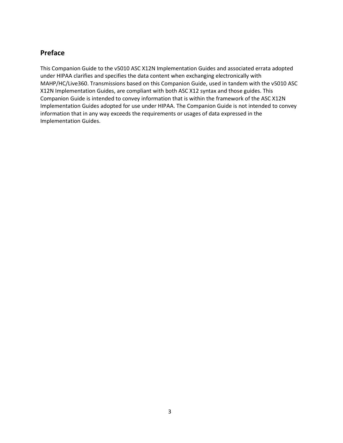# **Preface**

This Companion Guide to the v5010 ASC X12N Implementation Guides and associated errata adopted under HIPAA clarifies and specifies the data content when exchanging electronically with MAHP/HC/Live360. Transmissions based on this Companion Guide, used in tandem with the v5010 ASC X12N Implementation Guides, are compliant with both ASC X12 syntax and those guides. This Companion Guide is intended to convey information that is within the framework of the ASC X12N Implementation Guides adopted for use under HIPAA. The Companion Guide is not intended to convey information that in any way exceeds the requirements or usages of data expressed in the Implementation Guides.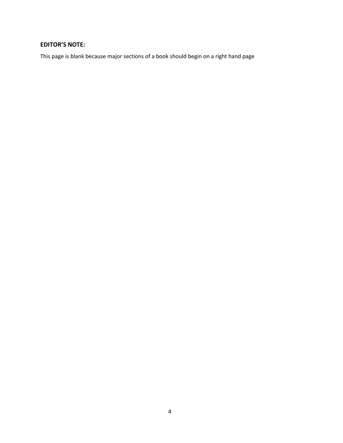# **EDITOR'S NOTE:**

This page is blank because major sections of a book should begin on a right hand page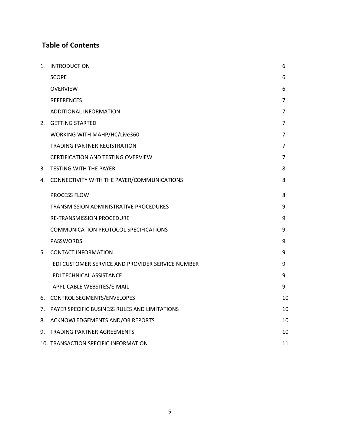# **Table of Contents**

| 1. | <b>INTRODUCTION</b>                              | 6              |  |
|----|--------------------------------------------------|----------------|--|
|    |                                                  |                |  |
|    | <b>SCOPE</b>                                     | 6              |  |
|    | <b>OVERVIEW</b>                                  | 6              |  |
|    | <b>REFERENCES</b>                                | $\overline{7}$ |  |
|    | ADDITIONAL INFORMATION                           | 7              |  |
|    | 2. GETTING STARTED                               | 7              |  |
|    | WORKING WITH MAHP/HC/Live360                     | 7              |  |
|    | <b>TRADING PARTNER REGISTRATION</b>              | 7              |  |
|    | <b>CERTIFICATION AND TESTING OVERVIEW</b>        | 7              |  |
|    | 3. TESTING WITH THE PAYER                        |                |  |
| 4. | CONNECTIVITY WITH THE PAYER/COMMUNICATIONS       | 8              |  |
|    | PROCESS FLOW                                     | 8              |  |
|    | TRANSMISSION ADMINISTRATIVE PROCEDURES           | 9              |  |
|    | <b>RE-TRANSMISSION PROCEDURE</b>                 | 9              |  |
|    | COMMUNICATION PROTOCOL SPECIFICATIONS            | 9              |  |
|    | <b>PASSWORDS</b>                                 | 9              |  |
|    | 5. CONTACT INFORMATION                           | 9              |  |
|    | EDI CUSTOMER SERVICE AND PROVIDER SERVICE NUMBER | 9              |  |
|    | EDI TECHNICAL ASSISTANCE                         | 9              |  |
|    | APPLICABLE WEBSITES/E-MAIL                       | 9              |  |
|    | 6. CONTROL SEGMENTS/ENVELOPES                    | 10             |  |
| 7. | PAYER SPECIFIC BUSINESS RULES AND LIMITATIONS    | 10             |  |
| 8. | ACKNOWLEDGEMENTS AND/OR REPORTS                  | 10             |  |
| 9. | <b>TRADING PARTNER AGREEMENTS</b>                | 10             |  |
|    | 10. TRANSACTION SPECIFIC INFORMATION             | 11             |  |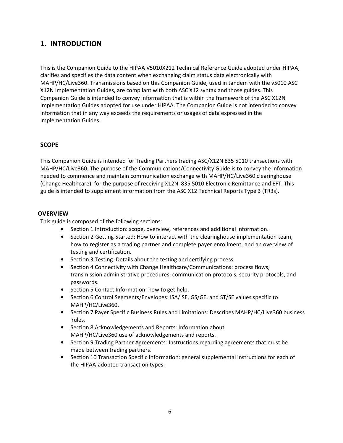# **1. INTRODUCTION**

This is the Companion Guide to the HIPAA V5010X212 Technical Reference Guide adopted under HIPAA; clarifies and specifies the data content when exchanging claim status data electronically with MAHP/HC/Live360. Transmissions based on this Companion Guide, used in tandem with the v5010 ASC X12N Implementation Guides, are compliant with both ASC X12 syntax and those guides. This Companion Guide is intended to convey information that is within the framework of the ASC X12N Implementation Guides adopted for use under HIPAA. The Companion Guide is not intended to convey information that in any way exceeds the requirements or usages of data expressed in the Implementation Guides.

#### **SCOPE**

This Companion Guide is intended for Trading Partners trading ASC/X12N 835 5010 transactions with MAHP/HC/Live360. The purpose of the Communications/Connectivity Guide is to convey the information needed to commence and maintain communication exchange with MAHP/HC/Live360 clearinghouse (Change Healthcare), for the purpose of receiving X12N 835 5010 Electronic Remittance and EFT. This guide is intended to supplement information from the ASC X12 Technical Reports Type 3 (TR3s).

#### **OVERVIEW**

This guide is composed of the following sections:

- Section 1 Introduction: scope, overview, references and additional information.
- Section 2 Getting Started: How to interact with the clearinghouse implementation team, how to register as a trading partner and complete payer enrollment, and an overview of testing and certification.
- Section 3 Testing: Details about the testing and certifying process.
- Section 4 Connectivity with Change Healthcare/Communications: process flows, transmission administrative procedures, communication protocols, security protocols, and passwords.
- Section 5 Contact Information: how to get help.
- Section 6 Control Segments/Envelopes: ISA/ISE, GS/GE, and ST/SE values specific to MAHP/HC/Live360.
- Section 7 Payer Specific Business Rules and Limitations: Describes MAHP/HC/Live360 business rules.
- Section 8 Acknowledgements and Reports: Information about MAHP/HC/Live360 use of acknowledgements and reports.
- Section 9 Trading Partner Agreements: Instructions regarding agreements that must be made between trading partners.
- Section 10 Transaction Specific Information: general supplemental instructions for each of the HIPAA‐adopted transaction types.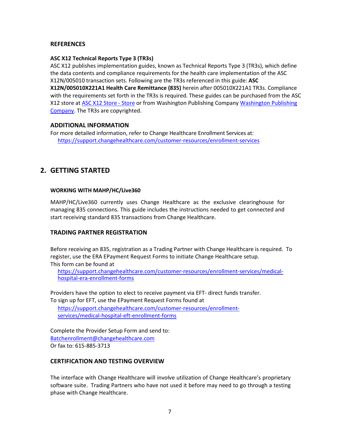#### **REFERENCES**

#### **ASC X12 Technical Reports Type 3 (TR3s)**

ASC X12 publishes implementation guides, known as Technical Reports Type 3 (TR3s), which define the data contents and compliance requirements for the health care implementation of the ASC X12N/005010 transaction sets. Following are the TR3s referenced in this guide: **ASC**

**X12N/005010X221A1 Health Care Remittance (835)** herein after 005010X221A1 TR3s. Compliance with the requirements set forth in the TR3s is required. These guides can be purchased from the ASC X12 store at ASC X12 Store ‐ Store or from Washington Publishing Company Washington Publishing Company. The TR3s are copyrighted.

#### **ADDITIONAL INFORMATION**

For more detailed information, refer to Change Healthcare Enrollment Services at: https://support.changehealthcare.com/customer‐resources/enrollment‐services

### **2. GETTING STARTED**

#### **WORKING WITH MAHP/HC/Live360**

MAHP/HC/Live360 currently uses Change Healthcare as the exclusive clearinghouse for managing 835 connections. This guide includes the instructions needed to get connected and start receiving standard 835 transactions from Change Healthcare.

#### **TRADING PARTNER REGISTRATION**

Before receiving an 835, registration as a Trading Partner with Change Healthcare is required. To register, use the ERA EPayment Request Forms to initiate Change Healthcare setup. This form can be found at

https://support.changehealthcare.com/customer-resources/enrollment-services/medicalhospital‐era‐enrollment‐forms

Providers have the option to elect to receive payment via EFT‐ direct funds transfer. To sign up for EFT, use the EPayment Request Forms found at

https://support.changehealthcare.com/customer‐resources/enrollment‐ services/medical‐hospital‐eft‐enrollment‐forms

Complete the Provider Setup Form and send to: Batchenrollment@changehealthcare.com Or fax to: 615‐885‐3713

#### **CERTIFICATION AND TESTING OVERVIEW**

The interface with Change Healthcare will involve utilization of Change Healthcare's proprietary software suite. Trading Partners who have not used it before may need to go through a testing phase with Change Healthcare.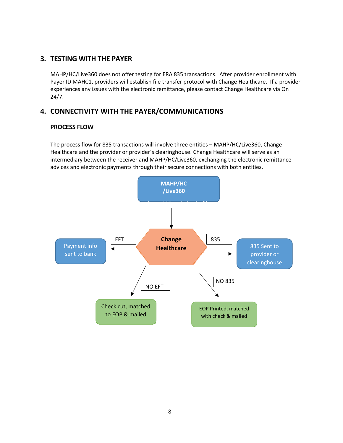# **3. TESTING WITH THE PAYER**

MAHP/HC/Live360 does not offer testing for ERA 835 transactions. After provider enrollment with Payer ID MAHC1, providers will establish file transfer protocol with Change Healthcare. If a provider experiences any issues with the electronic remittance, please contact Change Healthcare via On 24/7.

# **4. CONNECTIVITY WITH THE PAYER/COMMUNICATIONS**

#### **PROCESS FLOW**

The process flow for 835 transactions will involve three entities – MAHP/HC/Live360, Change Healthcare and the provider or provider's clearinghouse. Change Healthcare will serve as an intermediary between the receiver and MAHP/HC/Live360, exchanging the electronic remittance advices and electronic payments through their secure connections with both entities.

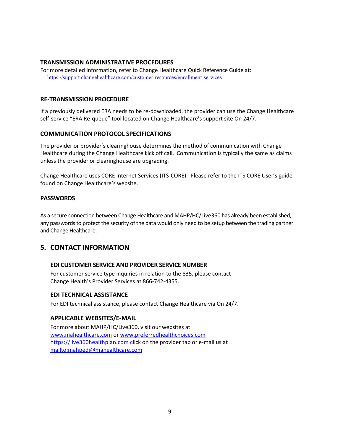#### **TRANSMISSION ADMINISTRATIVE PROCEDURES**

For more detailed information, refer to Change Healthcare Quick Reference Guide at: https://support.changehealthcare.com/customer-resources/enrollment-services

#### **RE‐TRANSMISSION PROCEDURE**

If a previously delivered ERA needs to be re‐downloaded, the provider can use the Change Healthcare self-service "ERA Re-queue" tool located on Change Healthcare's support site On 24/7.

#### **COMMUNICATION PROTOCOL SPECIFICATIONS**

The provider or provider's clearinghouse determines the method of communication with Change Healthcare during the Change Healthcare kick off call. Communication is typically the same as claims unless the provider or clearinghouse are upgrading.

Change Healthcare uses CORE internet Services (ITS‐CORE). Please refer to the ITS CORE User's guide found on Change Healthcare's website.

#### **PASSWORDS**

As a secure connection between Change Healthcare and MAHP/HC/Live360 has already been established, any passwords to protect the security of the data would only need to be setup between the trading partner and Change Healthcare.

# **5. CONTACT INFORMATION**

#### **EDI CUSTOMER SERVICE AND PROVIDER SERVICE NUMBER**

For customer service type inquiries in relation to the 835, please contact Change Health's Provider Services at 866‐742‐4355.

#### **EDI TECHNICAL ASSISTANCE**

For EDI technical assistance, please contact Change Healthcare via On 24/7.

#### **APPLICABLE WEBSITES/E‐MAIL**

For more about MAHP/HC/Live360, visit our websites at www.mahealthcare.com or www.preferredhealthchoices.com https://live360healthplan.com click on the provider tab or e-mail us at mailto:mahpedi@mahealthcare.com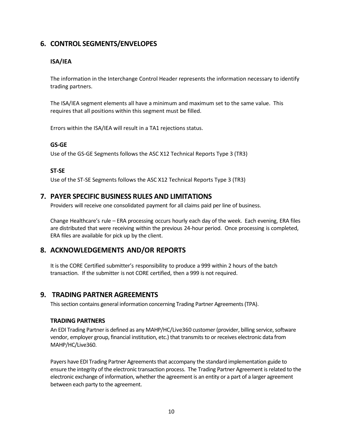# **6. CONTROL SEGMENTS/ENVELOPES**

#### **ISA/IEA**

The information in the Interchange Control Header represents the information necessary to identify trading partners.

The ISA/IEA segment elements all have a minimum and maximum set to the same value. This requires that all positions within this segment must be filled.

Errors within the ISA/IEA will result in a TA1 rejections status.

#### **GS‐GE**

Use of the GS‐GE Segments follows the ASC X12 Technical Reports Type 3 (TR3)

#### **ST‐SE**

Use of the ST‐SE Segments follows the ASC X12 Technical Reports Type 3 (TR3)

### **7. PAYER SPECIFIC BUSINESS RULES AND LIMITATIONS**

Providers will receive one consolidated payment for all claims paid per line of business.

Change Healthcare's rule – ERA processing occurs hourly each day of the week. Each evening, ERA files are distributed that were receiving within the previous 24‐hour period. Once processing is completed, ERA files are available for pick up by the client.

# **8. ACKNOWLEDGEMENTS AND/OR REPORTS**

It is the CORE Certified submitter's responsibility to produce a 999 within 2 hours of the batch transaction. If the submitter is not CORE certified, then a 999 is not required.

### **9. TRADING PARTNER AGREEMENTS**

This section contains general information concerning Trading Partner Agreements (TPA).

#### **TRADING PARTNERS**

An EDI Trading Partner is defined as any MAHP/HC/Live360 customer (provider, billing service, software vendor, employer group, financial institution, etc.) that transmits to or receives electronic data from MAHP/HC/Live360.

Payers have EDI Trading Partner Agreements that accompany the standard implementation guide to ensure the integrity of the electronic transaction process. The Trading Partner Agreement is related to the electronic exchange of information, whether the agreement is an entity or a part of a larger agreement between each party to the agreement.